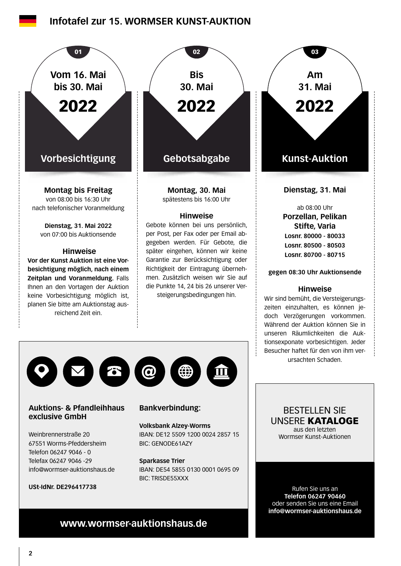## **Infotafel zur 15. WORMSER KUNST-AUKTION**



**Auktions- & Pfandleihhaus exclusive GmbH**

Weinbrennerstraße 20 67551 Worms-Pfeddersheim Telefon 06247 9046 - 0 Telefax 06247 9046 -29 info@wormser-auktionshaus.de

**USt-IdNr. DE296417738**

### **Bankverbindung:**

**Volksbank Alzey-Worms** IBAN: DE12 5509 1200 0024 2857 15 BIC: GENODE61AZY

#### **Sparkasse Trier** IBAN: DE54 5855 0130 0001 0695 09 BIC: TRISDE55XXX

BESTELLEN SIE UNSERE KATALOGE aus den letzten Wormser Kunst-Auktionen

Rufen Sie uns an **Telefon 06247 90460** oder senden Sie uns eine Email **info@wormser-auktionshaus.de**

## **www.wormser-auktionshaus.de**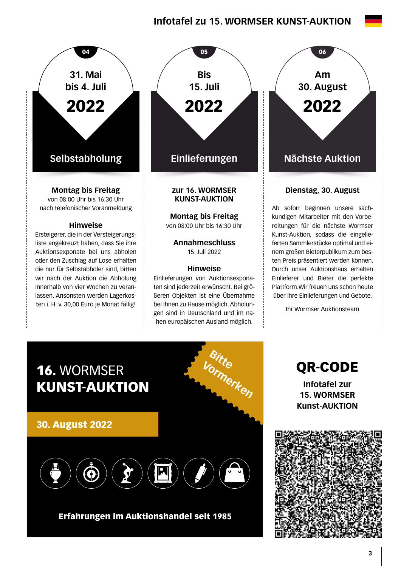# **Infotafel zu 15. WORMSER KUNST-AUKTION**



oder den Zuschlag auf Lose erhalten die nur für Selbstabholer sind, bitten wir nach der Auktion die Abholung innerhalb von vier Wochen zu veranlassen. Ansonsten werden Lagerkosten i. H. v. 30,00 Euro je Monat fällig!



von 08:00 Uhr bis 16:30 Uhr

**Annahmeschluss**  15. Juli 2022

#### **Hinweise**

Einlieferungen von Auktionsexponaten sind jederzeit erwünscht. Bei größeren Objekten ist eine Übernahme bei Ihnen zu Hause möglich. Abholungen sind in Deutschland und im nahen europäischen Ausland möglich.

**Am 30. August** 2022

### **Dienstag, 30. August**

Ab sofort beginnen unsere sachkundigen Mitarbeiter mit den Vorbereitungen für die nächste Wormser Kunst-Auktion, sodass die eingelieferten Sammlerstücke optimal und einem großen Bieterpublikum zum besten Preis präsentiert werden können. Durch unser Auktionshaus erhalten Einlieferer und Bieter die perfekte Plattform.Wir freuen uns schon heute über Ihre Einlieferungen und Gebote.

Ihr Wormser Auktionsteam



Erfahrungen im Auktionshandel seit 1985

QR-CODE **Infotafel zur 15. WORMSER Kunst-AUKTION**

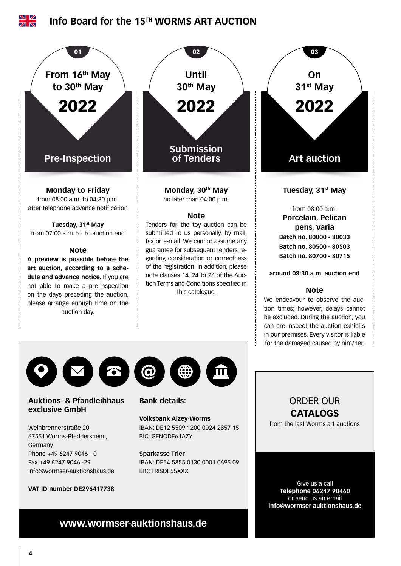

### **Auktions- & Pfandleihhaus exclusive GmbH**

Weinbrennerstraße 20 67551 Worms-Pfeddersheim, Germany Phone +49 6247 9046 - 0 Fax +49 6247 9046 -29 info@wormser-auktionshaus.de

#### **VAT ID number DE296417738**

### **Bank details:**

#### **Volksbank Alzey-Worms** IBAN: DE12 5509 1200 0024 2857 15 BIC: GENODE61AZY

#### **Sparkasse Trier**

IBAN: DE54 5855 0130 0001 0695 09 BIC: TRISDE55XXX

## ORDER OUR **CATALOGS**

from the last Worms art auctions

Give us a call **Telephone 06247 90460** or send us an email **info@wormser-auktionshaus.de**

# **www.wormser-auktionshaus.de**